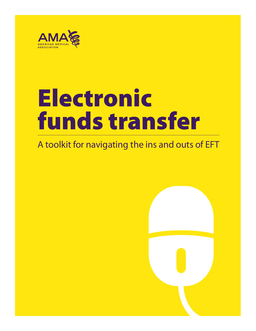

# Electronic funds transfer

A toolkit for navigating the ins and outs of EFT

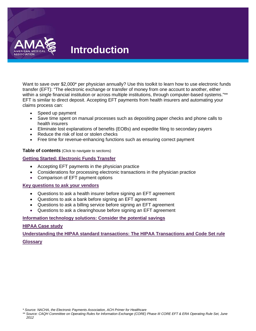

# **Introduction**

Want to save over \$2,000<sup>\*</sup> per physician annually? Use this toolkit to learn how to use electronic funds transfer (EFT): "The electronic exchange or transfer of money from one account to another, either within a single financial institution or across multiple institutions, through computer-based systems."\*\* EFT is similar to direct deposit. Accepting EFT payments from health insurers and automating your claims process can:

- Speed up payment
- Save time spent on manual processes such as depositing paper checks and phone calls to health insurers
- Eliminate lost explanations of benefits (EOBs) and expedite filing to secondary payers
- Reduce the risk of lost or stolen checks
- Free time for revenue-enhancing functions such as ensuring correct payment

#### **Table of contents** (Click to navigate to sections)

#### **[Getting Started: Electronic Funds Transfer](#page-2-0)**

- [Accepting EFT payments in the physician practice](#page-2-0)
- [Considerations for processing electronic transactions in the physician prac](#page-6-0)tice
- [Comparison of EFT payment options](#page-8-0)

#### **[Key questions to ask your vendors](#page-10-0)**

- [Questions to ask a health insurer before signing an EFT agreement](#page-10-0)
- [Questions to ask a bank before signing an EFT agreement](#page-12-0)
- [Questions to ask a billing service before signing an EFT a](#page-15-0)greement
- [Questions to ask a clearinghouse before signing an EFT ag](#page-18-0)reement

#### **[Information technology solutions: Consider the potential savings](#page-21-0)**

#### **[HIPAA Case study](#page-25-0)**

# **[Understanding the HIPAA standard transactions: The HIPAA Transactions and Code Set](#page-27-0) rule**

#### **[Glossary](#page-37-0)**

*<sup>\*</sup> Source: NACHA, the Electronic Payments Association, ACH Primer for Healthcare*

*<sup>\*\*</sup> Source: CAQH Committee on Operating Rules for Information Exchange (CORE) Phase III CORE EFT & ERA Operating Rule Set, June 2012*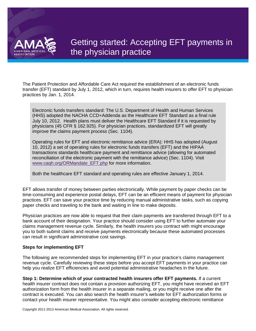<span id="page-2-0"></span>

The Patient Protection and Affordable Care Act required the establishment of an electronic funds transfer (EFT) standard by July 1, 2012, which in turn, requires health insurers to offer EFT to physician practices by Jan. 1, 2014.

Electronic funds transfers standard: The U.S. Department of Health and Human Services (HHS) adopted the NACHA CCD+Addenda as the Healthcare EFT Standard as a final rule July 10, 2012. Health plans must deliver the Healthcare EFT Standard if it is requested by physicians (45 CFR § 162.925). For physician practices, standardized EFT will greatly improve the claims payment process (Sec. 1104).

Operating rules for EFT and electronic remittance advice (ERA): HHS has adopted (August 10, 2012) a set of operating rules for electronic funds transfers (EFT) and the HIPAA transactions standards healthcare payment and remittance advice (allowing for automated reconciliation of the electronic payment with the remittance advice) (Sec. 1104). Visit [www.caqh.org/ORMandate\\_EFT.php](http://www.caqh.org/ORMandate_EFT.php) for more information.

Both the healthcare EFT standard and operating rules are effective January 1, 2014.

EFT allows transfer of money between parties electronically. While payment by paper checks can be time-consuming and experience postal delays, EFT can be an efficient means of payment for physician practices. EFT can save your practice time by reducing manual administrative tasks, such as copying paper checks and traveling to the bank and waiting in line to make deposits.

Physician practices are now able to request that their claim payments are transferred through EFT to a bank account of their designation. Your practice should consider using EFT to further automate your claims management revenue cycle. Similarly, the health insurers you contract with might encourage you to both submit claims and receive payments electronically because these automated processes can result in significant administrative cost savings.

#### **Steps for implementing EFT**

The following are recommended steps for implementing EFT in your practice's claims management revenue cycle. Carefully reviewing these steps before you accept EFT payments in your practice can help you realize EFT efficiencies and avoid potential administrative headaches in the future.

**Step 1: Determine which of your contracted health insurers offer EFT payments.** If a current health insurer contract does not contain a provision authorizing EFT, you might have received an EFT authorization form from the health insurer in a separate mailing, or you might receive one after the contract is executed. You can also search the health insurer's website for EFT authorization forms or contact your health insurer representative. You might also consider accepting electronic remittance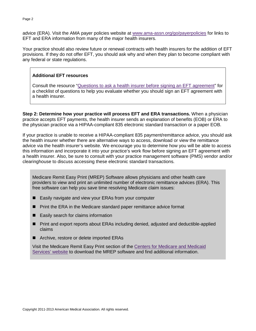advice (ERA). Visit the AMA payer policies website at [www.ama-assn.org/go/payerpolicies](http://www.ama-assn.org/go/payerpolicies) for links to EFT and ERA information from many of the major health insurers.

Your practice should also review future or renewal contracts with health insurers for the addition of EFT provisions. If they do not offer EFT, you should ask why and when they plan to become compliant with any federal or state regulations.

#### **Additional EFT resources**

Consult the resource ["Questions to ask a health insurer before signing an EFT agreement"](#page-10-0) for a checklist of questions to help you evaluate whether you should sign an EFT agreement with a health insurer.

**Step 2: Determine how your practice will process EFT and ERA transactions.** When a physician practice accepts EFT payments, the health insurer sends an explanation of benefits (EOB) or ERA to the physician practice via a HIPAA-compliant 835 electronic standard transaction or a paper EOB.

If your practice is unable to receive a HIPAA-compliant 835 payment/remittance advice, you should ask the health insurer whether there are alternative ways to access, download or view the remittance advice via the health insurer's website. We encourage you to determine how you will be able to access this information and incorporate it into your practice's work flow before signing an EFT agreement with a health insurer. Also, be sure to consult with your practice management software (PMS) vendor and/or clearinghouse to discuss accessing these electronic standard transactions.

Medicare Remit Easy Print (MREP) Software allows physicians and other health care providers to view and print an unlimited number of electronic remittance advices (ERA). This free software can help you save time resolving Medicare claim issues:

- Easily navigate and view your ERAs from your computer
- **Print the ERA in the Medicare standard paper remittance advice format**
- Easily search for claims information
- Print and export reports about ERAs including denied, adjusted and deductible-applied claims
- Archive, restore or delete imported ERAs

Visit the Medicare Remit Easy Print section of the [Centers for Medicare and Medicaid](http://www.cms.gov/AccesstoDataApplication/02_MedicareRemitEasyPrint.asp)  [Services' website](http://www.cms.gov/AccesstoDataApplication/02_MedicareRemitEasyPrint.asp) to download the MREP software and find additional information.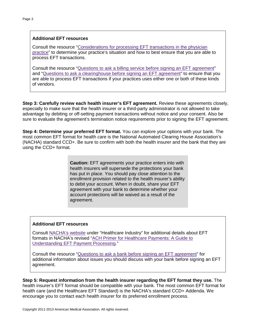Consult the resource ["Considerations for processing EFT transactions in the physician](#page-6-0)  [practice"](http://www.ama-assn.org/resources/doc/psa/electronic-transaction-considerations.pdf) to determine your practice's situation and how to best ensure that you are able to process EFT transactions.

Consult the resource ["Questions to ask a billing service before signing an EFT agreement"](#page-15-0) and ["Questions to ask a clearinghouse before signing an EFT agreement"](#page-18-0) to ensure that you are able to process EFT transactions if your practices uses either one or both of these kinds of vendors.

**Step 3: Carefully review each health insurer's EFT agreement.** Review these agreements closely, especially to make sure that the health insurer or a third-party administrator is not allowed to take advantage by debiting or off-setting payment transactions without notice and your consent. Also be sure to evaluate the agreement's termination notice requirements prior to signing the EFT agreement.

**Step 4: Determine your preferred EFT format.** You can explore your options with your bank. The most common EFT format for health care is the National Automated Clearing House Association's (NACHA) standard CCD+. Be sure to confirm with both the health insurer and the bank that they are using the CCD+ format.

> **Caution:** EFT agreements your practice enters into with health insurers will supersede the protections your bank has put in place. You should pay close attention to the enrollment provision related to the health insurer's ability to debit your account. When in doubt, share your EFT agreement with your bank to determine whether your account protections will be waived as a result of the agreement.

#### **Additional EFT resources**

Consult [NACHA's website](http://healthcare.nacha.org/health-care-industry-info/) under "Healthcare Industry" for additional details about EFT formats in NACHA's revised "ACH Primer for Healthcare Payments: A Guide to [Understanding EFT Payment Processing.](https://healthcare.nacha.org/sites/healthcare.nacha.org/files/files/Revised%20Healthcare%20Primer%20final%2004%2005%2013.pdf)"

Consult the resource ["Questions to ask a bank before signing an EFT agreement"](#page-12-0) for additional information about issues you should discuss with your bank before signing an EFT agreement.

**Step 5: Request information from the health insurer regarding the EFT format they use.** The health insurer's EFT format should be compatible with your bank. The most common EFT format for health care (and the Healthcare EFT Standard) is the NACHA's standard CCD+ Addenda. We encourage you to contact each health insurer for its preferred enrollment process.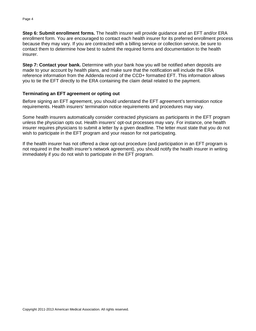Page 4

**Step 6: Submit enrollment forms.** The health insurer will provide guidance and an EFT and/or ERA enrollment form. You are encouraged to contact each health insurer for its preferred enrollment process because they may vary. If you are contracted with a billing service or collection service, be sure to contact them to determine how best to submit the required forms and documentation to the health insurer.

**Step 7: Contact your bank.** Determine with your bank how you will be notified when deposits are made to your account by health plans, and make sure that the notification will include the ERA reference information from the Addenda record of the CCD+ formatted EFT. This information allows you to tie the EFT directly to the ERA containing the claim detail related to the payment.

#### **Terminating an EFT agreement or opting out**

Before signing an EFT agreement, you should understand the EFT agreement's termination notice requirements. Health insurers' termination notice requirements and procedures may vary.

Some health insurers automatically consider contracted physicians as participants in the EFT program unless the physician opts out. Health insurers' opt-out processes may vary. For instance, one health insurer requires physicians to submit a letter by a given deadline. The letter must state that you do not wish to participate in the EFT program and your reason for not participating.

If the health insurer has not offered a clear opt-out procedure (and participation in an EFT program is not required in the health insurer's network agreement), you should notify the health insurer in writing immediately if you do not wish to participate in the EFT program.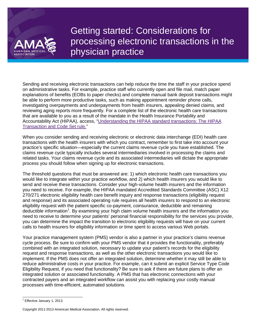<span id="page-6-0"></span>

Getting started: Considerations for processing electronic transactions in the physician practice

Sending and receiving electronic transactions can help reduce the time the staff in your practice spend on administrative tasks. For example, practice staff who currently open and file mail, match paper explanations of benefits (EOBs to paper checks) and complete manual bank deposit transactions might be able to perform more productive tasks, such as making appointment reminder phone calls, investigating overpayments and underpayments from health insurers, appealing denied claims, and reviewing aging reports more frequently. For a complete list of the electronic health care transactions that are available to you as a result of the mandate in the Health Insurance Portability and Accountability Act (HIPAA), access, ["Understanding the HIPAA standard transactions: The HIPAA](#page-27-0)  [Transaction and Code Set rule."](#page-27-0)

When you consider sending and receiving electronic or electronic data interchange (EDI) health care transactions with the health insurers with which you contract, remember to first take into account your practice's specific situation—especially the current claims revenue cycle you have established. The claims revenue cycle typically includes several intermediaries involved in processing the claims and related tasks. Your claims revenue cycle and its associated intermediaries will dictate the appropriate process you should follow when signing up for electronic transactions.

The threshold questions that must be answered are: 1) which electronic health care transactions you would like to integrate within your practice workflow, and 2) which health insurers you would like to send and receive these transactions. Consider your high-volume health insurers and the information you need to receive. For example, the HIPAA mandated Accredited Standards Committee (ASC) X12 270/271 electronic eligibility health care benefit inquiry and response transactions (eligibility request and response) and its associated operating rule requires all health insurers to respond to an electronic eligibility request with the patient specific co-payment, coinsurance, deductible and remaining deductible information<sup>[1](#page-6-1)</sup>. By examining your high claim volume health insurers and the information you need to receive to determine your patients' personal financial responsibility for the services you provide, you can determine the impact the transition to electronic eligibility requests will have on your current calls to health insurers for eligibility information or time spent to access various Web portals.

Your practice management system (PMS) vendor is also a partner in your practice's claims revenue cycle process. Be sure to confirm with your PMS vendor that it provides the functionality, preferably combined with an integrated solution, necessary to update your patient's records for the eligibility request and response transactions, as well as the other electronic transactions you would like to implement. If the PMS does not offer an integrated solution, determine whether it may still be able to reduce administrative costs in your practice. For example, can it submit an explicit Service Type Code Eligibility Request, if you need that functionality? Be sure to ask if there are future plans to offer an integrated solution or associated functionality. A PMS that has electronic connections with your contracted payers and an integrated workflow can assist you with replacing your costly manual processes with time-efficient, automated solutions.

<span id="page-6-1"></span>j <sup>1</sup> Effective January 1, 2013.

Copyright 2011-2013 American Medical Association. All rights reserved.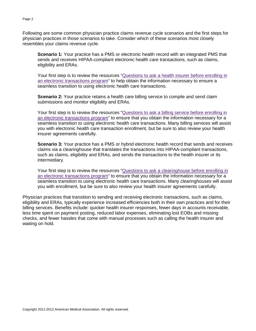Following are some common physician practice claims revenue cycle scenarios and the first steps for physician practices in those scenarios to take. Consider which of these scenarios most closely resembles your claims revenue cycle.

**Scenario 1:** Your practice has a PMS or electronic health record with an integrated PMS that sends and receives HIPAA-compliant electronic health care transactions, such as claims, eligibility and ERAs.

Your first step is to review the resources "Questions to ask a health insurer before enrolling in [an electronic transactions program"](http://www.ama-assn.org/resources/doc/psa/era-toolkit-full.pdf#page=5) to help obtain the information necessary to ensure a seamless transition to using electronic health care transactions.

**Scenario 2:** Your practice retains a health care billing service to compile and send claim submissions and monitor eligibility and ERAs.

Your first step is to review the resources "Questions to ask a billing service before enrolling in [an electronic transactions program"](http://www.ama-assn.org/resources/doc/psa/era-toolkit-full.pdf#page=10) to ensure that you obtain the information necessary for a seamless transition to using electronic health care transactions. Many billing services will assist you with electronic health care transaction enrollment, but be sure to also review your health insurer agreements carefully.

**Scenario 3:** Your practice has a PMS or hybrid electronic health record that sends and receives claims via a clearinghouse that translates the transactions into HIPAA-compliant transactions, such as claims, eligibility and ERAs, and sends the transactions to the health insurer or its intermediary.

Your first step is to review the resources "Questions to ask a clearinghouse before enrolling in [an electronic transactions program"](http://www.ama-assn.org/resources/doc/psa/era-toolkit-full.pdf#page=14) to ensure that you obtain the information necessary for a seamless transition to using electronic health care transactions. Many clearinghouses will assist you with enrollment, but be sure to also review your health insurer agreements carefully.

Physician practices that transition to sending and receiving electronic transactions, such as claims, eligibility and ERAs, typically experience increased efficiencies both in their own practices and for their billing services. Benefits include: quicker health insurer responses, fewer days in accounts receivable, less time spent on payment posting, reduced labor expenses, eliminating lost EOBs and missing checks, and fewer hassles that come with manual processes such as calling the health insurer and waiting on hold.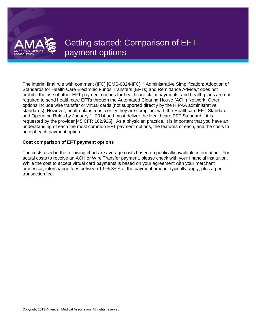<span id="page-8-0"></span>

The interim final rule with comment (IFC) [CMS-0024-IFC], " Administrative Simplification: Adoption of Standards for Health Care Electronic Funds Transfers (EFTs) and Remittance Advice," does not prohibit the use of other EFT payment options for healthcare claim payments, and health plans are not required to send health care EFTs through the Automated Clearing House (ACH) Network. Other options include wire transfer or virtual cards (not supported directly by the HIPAA administrative standards). However, health plans must certify they are compliant with the Healthcare EFT Standard and Operating Rules by January 1, 2014 and must deliver the Healthcare EFT Standard if it is requested by the provider [45 CFR 162.925]. As a physician practice, it is important that you have an understanding of each the most common EFT payment options, the features of each, and the costs to accept each payment option.

#### **Cost comparison of EFT payment options**

The costs used in the following chart are average costs based on publically available information. For actual costs to receive an ACH or Wire Transfer payment, please check with your financial institution. While the cost to accept virtual card payments is based on your agreement with your merchant processor, interchange fees between 1.9%-3+% of the payment amount typically apply, plus a per transaction fee.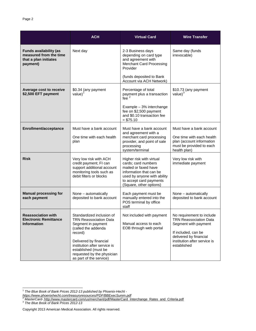|                                                                                              | <b>ACH</b>                                                                                                                                                                                                                                                    | <b>Virtual Card</b>                                                                                                                                                                         | <b>Wire Transfer</b>                                                                                                                                                               |
|----------------------------------------------------------------------------------------------|---------------------------------------------------------------------------------------------------------------------------------------------------------------------------------------------------------------------------------------------------------------|---------------------------------------------------------------------------------------------------------------------------------------------------------------------------------------------|------------------------------------------------------------------------------------------------------------------------------------------------------------------------------------|
| <b>Funds availability (as</b><br>measured from the time<br>that a plan initiates<br>payment) | Next day                                                                                                                                                                                                                                                      | 2-3 Business days<br>depending on card type<br>and agreement with<br><b>Merchant Card Processing</b><br>Provider<br>(funds deposited to Bank                                                | Same day (funds<br>irrevocable)                                                                                                                                                    |
| Average cost to receive<br>\$2,500 EFT payment                                               | \$0.34 (any payment<br>value)                                                                                                                                                                                                                                 | Account via ACH Network)<br>Percentage of total<br>payment plus a transaction<br>fee $^2$<br>Example - 3% interchange<br>fee on \$2,500 payment<br>and \$0.10 transaction fee<br>$= $75.10$ | \$10.73 (any payment<br>$value)^3$                                                                                                                                                 |
| Enrollment/acceptance                                                                        | Must have a bank account<br>One time with each health<br>plan                                                                                                                                                                                                 | Must have a bank account<br>and agreement with a<br>merchant card processing<br>provider, and point of sale<br>processing<br>system/terminal                                                | Must have a bank account<br>One time with each health<br>plan (account information<br>must be provided to each<br>health plan)                                                     |
| <b>Risk</b>                                                                                  | Very low risk with ACH<br>credit payment; FI can<br>support additional account<br>monitoring tools such as<br>debit filters or blocks                                                                                                                         | Higher risk with virtual<br>cards; card numbers<br>mailed or faxed have<br>information that can be<br>used by anyone with ability<br>to accept card payments<br>(Square, other options)     | Very low risk with<br>immediate payment                                                                                                                                            |
| <b>Manual processing for</b><br>each payment                                                 | None - automatically<br>deposited to bank account                                                                                                                                                                                                             | Each payment must be<br>manually entered into the<br>POS terminal by office<br>staff                                                                                                        | None - automatically<br>deposited to bank account                                                                                                                                  |
| <b>Reassociation with</b><br><b>Electronic Remittance</b><br><b>Information</b>              | Standardized inclusion of<br><b>TRN Reassociation Data</b><br>Segment in payment<br>(called the addenda<br>record)<br>Delivered by financial<br>institution after service is<br>established (must be<br>requested by the physician<br>as part of the service) | Not included with payment<br>Manual access to each<br>EOB through web portal                                                                                                                | No requirement to include<br><b>TRN Reassociation Data</b><br>Segment with payment<br>If included, can be<br>delivered by financial<br>institution after service is<br>established |

<span id="page-9-0"></span>j <sup>1</sup> *The Blue Book of Bank Prices 2012-13 published by Phoenix-Hecht -* 

<span id="page-9-1"></span><sup>&</sup>lt;u><https://www.phoenixhecht.com/treasuryresources/PDF/BBExecSumm.pdf></u><br><sup>2</sup> MasterCard[-](http://www.mastercard.com/us/merchant/pdf/MasterCard_Interchange_Rates_and_Criteria.pdf)<u>[http://www.mastercard.com/us/merchant/pdf/MasterCard\\_Interchange\\_Rates\\_and\\_Criteria.pdf](http://www.mastercard.com/us/merchant/pdf/MasterCard_Interchange_Rates_and_Criteria.pdf)<br><sup>3</sup> The Blue Book of Bank Prices 2012-13</u>

<span id="page-9-2"></span>

Copyright 2013 American Medical Association. All rights reserved.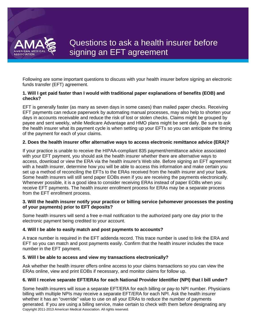<span id="page-10-0"></span>

Following are some important questions to discuss with your health insurer before signing an electronic funds transfer (EFT) agreement.

#### **1. Will I get paid faster than I would with traditional paper explanations of benefits (EOB) and checks?**

EFT is generally faster (as many as seven days in some cases) than mailed paper checks. Receiving EFT payments can reduce paperwork by automating manual processes, may also help to shorten your days in accounts receivable and reduce the risk of lost or stolen checks. Claims might be grouped by payee and sent weekly, while Medicare Advantage and HMO plans might be sent daily. Be sure to ask the health insurer what its payment cycle is when setting up your EFTs so you can anticipate the timing of the payment for each of your claims.

#### **2. Does the health insurer offer alternative ways to access electronic remittance advice (ERA)?**

If your practice is unable to receive the HIPAA-compliant 835 payment/remittance advice associated with your EFT payment, you should ask the health insurer whether there are alternative ways to access, download or view the ERA via the health insurer's Web site. Before signing an EFT agreement with a health insurer, determine how you will be able to access this information and make certain you set up a method of reconciling the EFTs to the ERAs received from the health insurer and your bank. Some health insurers will still send paper EOBs even if you are receiving the payments electronically. Whenever possible, it is a good idea to consider receiving ERAs instead of paper EOBs when you receive EFT payments. The health insurer enrollment process for ERAs may be a separate process from the EFT enrollment process.

#### **3. Will the health insurer notify your practice or billing service (whomever processes the posting of your payments) prior to EFT deposits?**

Some health insurers will send a free e-mail notification to the authorized party one day prior to the electronic payment being credited to your account.

#### **4. Will I be able to easily match and post payments to accounts?**

A trace number is required in the EFT addenda record. This trace number is used to link the ERA and EFT so you can match and post payments easily. Confirm that the health insurer includes the trace number in the EFT payment.

#### **5. Will I be able to access and view my transactions electronically?**

Ask whether the health insurer offers online access to your claims transactions so you can view the ERAs online, view and print EOBs if necessary, and monitor claims for follow up.

#### **6. Will I receive separate EFT/ERAs for each National Provider Identifier (NPI) that I bill under?**

Copyright 2011-2013 American Medical Association. All rights reserved. Some health insurers will issue a separate EFT/ERA for each billing or pay-to NPI number. Physicians billing with multiple NPIs may receive a separate EFT/ERA for each NPI. Ask the health insurer whether it has an "override" value to use on all your ERAs to reduce the number of payments generated. If you are using a billing service, make certain to check with them before designating any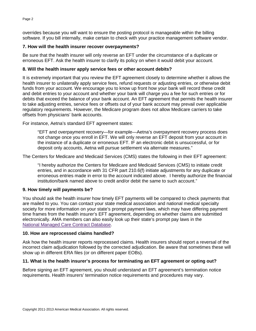overrides because you will want to ensure the posting protocol is manageable within the billing software. If you bill internally, make certain to check with your practice management software vendor.

#### **7. How will the health insurer recover overpayments?**

Be sure that the health insurer will only reverse an EFT under the circumstance of a duplicate or erroneous EFT. Ask the health insurer to clarify its policy on when it would debit your account.

#### **8. Will the health insurer apply service fees or other account debits?**

It is extremely important that you review the EFT agreement closely to determine whether it allows the health insurer to unilaterally apply service fees, refund requests or adjusting entries, or otherwise debit funds from your account. We encourage you to know up front how your bank will record these credit and debit entries to your account and whether your bank will charge you a fee for such entries or for debits that exceed the balance of your bank account. An EFT agreement that permits the health insurer to take adjusting entries, service fees or offsets out of your bank account may prevail over applicable regulatory requirements. However, the Medicare program does not allow Medicare carriers to take offsets from physicians' bank accounts.

For instance, Aetna's standard EFT agreement states:

"EFT and overpayment recovery—for example—Aetna's overpayment recovery process does not change once you enroll in EFT. We will only reverse an EFT deposit from your account in the instance of a duplicate or erroneous EFT. IF an electronic debit is unsuccessful, or for deposit only accounts, Aetna will pursue settlement via alternate measures."

The Centers for Medicare and Medicaid Services (CMS) states the following in their EFT agreement:

"I hereby authorize the Centers for Medicare and Medicaid Services (CMS) to initiate credit entries, and in accordance with 31 CFR part 210.6(f) initiate adjustments for any duplicate or erroneous entries made in error to the account indicated above. I hereby authorize the financial institution/bank named above to credit and/or debit the same to such account."

#### **9. How timely will payments be?**

You should ask the health insurer how timely EFT payments will be compared to check payments that are mailed to you. You can contact your state medical association and national medical specialty society for more information on your state's prompt payment laws, which may have differing payment time frames from the health insurer's EFT agreement, depending on whether claims are submitted electronically. AMA members can also easily look up their state's prompt pay laws in the [National Managed Care Contract Database.](http://www.ama-assn.org/go/nationalcontract)

#### **10. How are reprocessed claims handled?**

Ask how the health insurer reports reprocessed claims. Health insurers should report a reversal of the incorrect claim adjudication followed by the corrected adjudication. Be aware that sometimes these will show up in different ERA files (or on different paper EOBs).

#### **11. What is the health insurer's process for terminating an EFT agreement or opting out?**

Before signing an EFT agreement, you should understand an EFT agreement's termination notice requirements. Health insurers' termination notice requirements and procedures may vary.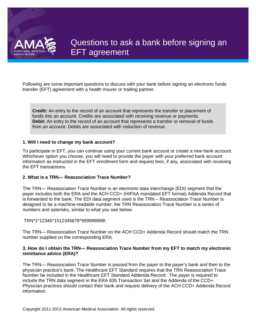<span id="page-12-0"></span>

Following are some important questions to discuss with your bank before signing an electronic funds transfer (EFT) agreement with a health insurer or trading partner.

**Credit:** An entry to the record of an account that represents the transfer or placement of funds into an account. Credits are associated with receiving revenue or payments. **Debit:** An entry to the record of an account that represents a transfer or removal of funds from an account. Debits are associated with reduction of revenue.

#### **1. Will I need to change my bank account?**

To participate in EFT, you can continue using your current bank account or create a new bank account. Whichever option you choose, you will need to provide the payer with your preferred bank account information as instructed in the EFT enrollment form and request fees, if any, associated with receiving the EFT transactions.

#### **2. What is a TRN— Reassociation Trace Number?**

The TRN— Reassociation Trace Number is an electronic data interchange (EDI) segment that the payer includes both the ERA and the ACH CCD+ (HIPAA mandated EFT format) Addenda Record that is forwarded to the bank. The EDI data segment used is the TRN – Reassociation Trace Number is designed to be a machine-readable number; the TRN Reassociation Trace Number is a series of numbers and asterisks, similar to what you see below:

#### TRN\*1\*12345\*1512345678\*999999999\

The TRN— Reassociation Trace Number on the ACH CCD+ Addenda Record should match the TRN number supplied on the corresponding ERA.

#### **3. How do I obtain the TRN— Reassociation Trace Number from my EFT to match my electronic remittance advice (ERA)?**

The TRN— Reassociation Trace Number is passed from the payer to the payer's bank and then to the physician practice's bank. The Healthcare EFT Standard requires that the TRN Reassociation Trace Number be included in the Healthcare EFT Standard Addenda Record. The payer is required to include the TRN data segment in the ERA 835 Transaction Set and the Addenda of the CCD+. Physician practices should contact their bank and request delivery of the ACH CCD+ Addenda Record information.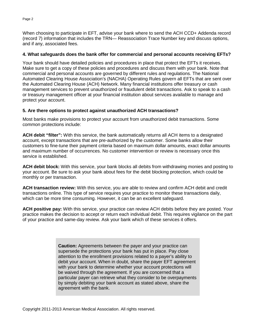Page 2

When choosing to participate in EFT, advise your bank where to send the ACH CCD+ Addenda record (record 7) information that includes the TRN— Reassociation Trace Number key and discuss options, and if any, associated fees.

#### **4. What safeguards does the bank offer for commercial and personal accounts receiving EFTs?**

Your bank should have detailed policies and procedures in place that protect the EFTs it receives. Make sure to get a copy of these policies and procedures and discuss them with your bank. Note that commercial and personal accounts are governed by different rules and regulations. The National Automated Clearing House Association's (NACHA) Operating Rules govern all EFTs that are sent over the Automated Clearing House (ACH) Network. Many financial institutions offer treasury or cash management services to prevent unauthorized or fraudulent debit transactions. Ask to speak to a cash or treasury management officer at your financial institution about services available to manage and protect your account.

#### **5. Are there options to protect against unauthorized ACH transactions?**

Most banks make provisions to protect your account from unauthorized debit transactions. Some common protections include:

**ACH debit "filter":** With this service, the bank automatically returns all ACH items to a designated account, except transactions that are pre-authorized by the customer. Some banks allow their customers to fine-tune their payment criteria based on maximum dollar amounts, exact dollar amounts and maximum number of occurrences. No customer intervention or review is necessary once this service is established.

**ACH debit block:** With this service, your bank blocks all debits from withdrawing monies and posting to your account. Be sure to ask your bank about fees for the debit blocking protection, which could be monthly or per transaction.

**ACH transaction review:** With this service, you are able to review and confirm ACH debit and credit transactions online. This type of service requires your practice to monitor these transactions daily, which can be more time consuming. However, it can be an excellent safeguard.

**ACH positive pay:** With this service, your practice can review ACH debits before they are posted. Your practice makes the decision to accept or return each individual debit. This requires vigilance on the part of your practice and same-day review. Ask your bank which of these services it offers.

> **Caution:** Agreements between the payer and your practice can supersede the protections your bank has put in place. Pay close attention to the enrollment provisions related to a payer's ability to debit your account. When in doubt, share the payer EFT agreement with your bank to determine whether your account protections will be waived through the agreement. If you are concerned that a particular payer can retrieve what they consider to be overpayments by simply debiting your bank account as stated above, share the agreement with the bank.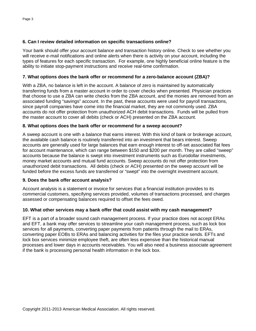#### **6. Can I review detailed information on specific transactions online?**

Your bank should offer your account balance and transaction history online. Check to see whether you will receive e-mail notifications and online alerts when there is activity on your account, including the types of features for each specific transaction. For example, one highly beneficial online feature is the ability to initiate stop-payment instructions and receive real-time confirmation.

#### **7. What options does the bank offer or recommend for a zero-balance account (ZBA)?**

With a ZBA, no balance is left in the account. A balance of zero is maintained by automatically transferring funds from a master account in order to cover checks when presented. Physician practices that choose to use a ZBA can write checks from the ZBA account, and the monies are removed from an associated funding "savings" account. In the past, these accounts were used for payroll transactions, since payroll companies have come into the financial market, they are not commonly used. ZBA accounts do not offer protection from unauthorized ACH debit transactions. Funds will be pulled from the master account to cover all debits (check or ACH) presented on the ZBA account.

#### **8. What options does the bank offer or recommend for a sweep account?**

A sweep account is one with a balance that earns interest. With this kind of bank or brokerage account, the available cash balance is routinely transferred into an investment that bears interest. Sweep accounts are generally used for large balances that earn enough interest to off-set associated flat fees for account maintenance, which can range between \$150 and \$200 per month. They are called "sweep" accounts because the balance is swept into investment instruments such as Eurodollar investments, money market accounts and mutual fund accounts. Sweep accounts do not offer protection from unauthorized debit transactions. All debits (check or ACH) presented on the sweep account will be funded before the excess funds are transferred or "swept" into the overnight investment account.

#### **9. Does the bank offer account analysis?**

Account analysis is a statement or invoice for services that a financial institution provides to its commercial customers, specifying services provided, volumes of transactions processed, and charges assessed or compensating balances required to offset the fees owed.

#### **10. What other services may a bank offer that could assist with my cash management?**

EFT is a part of a broader sound cash management process. If your practice does not accept ERAs and EFT, a bank may offer services to streamline your cash management process, such as lock box services for all payments, converting paper payments from patients through the mail to ERAs, converting paper EOBs to ERAs and balancing activities for the files your practice sends. EFTs and lock box services minimize employee theft, are often less expensive than the historical manual processes and lower days in accounts receivables. You will also need a business associate agreement if the bank is processing personal health information in the lock box.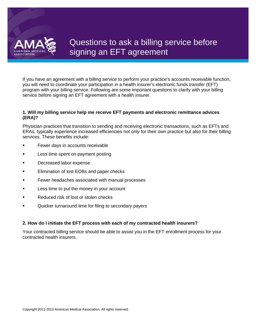<span id="page-15-0"></span>

If you have an agreement with a billing service to perform your practice's accounts receivable function, you will need to coordinate your participation in a health insurer's electronic funds transfer (EFT) program with your billing service. Following are some important questions to clarify with your billing service before signing an EFT agreement with a health insurer.

#### **1. Will my billing service help me receive EFT payments and electronic remittance advices (ERA)?**

Physician practices that transition to sending and receiving electronic transactions, such as EFTs and ERAs, typically experience increased efficiencies not only for their own practice but also for their billing services. These benefits include:

- Fewer days in accounts receivable
- Less time spent on payment posting
- Decreased labor expense
- Elimination of lost EOBs and paper checks
- Fewer headaches associated with manual processes
- Less time to put the money in your account
- Reduced risk of lost or stolen checks
- Quicker turnaround time for filing to secondary payers

#### **2. How do I initiate the EFT process with each of my contracted health insurers?**

Your contracted billing service should be able to assist you in the EFT enrollment process for your contracted health insurers.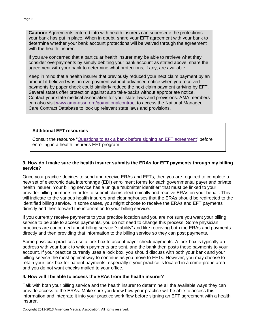**Caution:** Agreements entered into with health insurers can supersede the protections your bank has put in place. When in doubt, share your EFT agreement with your bank to determine whether your bank account protections will be waived through the agreement with the health insurer.

If you are concerned that a particular health insurer may be able to retrieve what they consider overpayments by simply debiting your bank account as stated above, share the agreement with your bank to determine what protections, if any, are available.

Keep in mind that a health insurer that previously reduced your next claim payment by an amount it believed was an overpayment without advanced notice when you received payments by paper check could similarly reduce the next claim payment arriving by EFT. Several states offer protection against auto take-backs without appropriate notice. Contact your state medical association for your state laws and provisions. AMA members can also visit [www.ama-assn.org/go/nationalcontract](http://www.ama-assn.org/go/nationalcontract) to access the National Managed Care Contract Database to look up relevant state laws and provisions.

#### **Additional EFT resources**

Consult the resource ["Questions to ask a bank before signing an EFT agreement"](#page-12-0) before enrolling in a health insurer's EFT program.

#### **3. How do I make sure the health insurer submits the ERAs for EFT payments through my billing service?**

Once your practice decides to send and receive ERAs and EFTs, then you are required to complete a new set of electronic data interchange (EDI) enrollment forms for each governmental payer and private health insurer. Your billing service has a unique "submitter identifier" that must be linked to your provider billing numbers in order to submit claims electronically and receive ERAs on your behalf. This will indicate to the various health insurers and clearinghouses that the ERAs should be redirected to the identified billing service. In some cases, you might choose to receive the ERAs and EFT payments directly and then forward the information to your billing service.

If you currently receive payments to your practice location and you are not sure you want your billing service to be able to access payments, you do not need to change this process. Some physician practices are concerned about billing service "stability" and like receiving both the ERAs and payments directly and then providing that information to the billing service so they can post payments.

Some physician practices use a lock box to accept payer check payments. A lock box is typically an address with your bank to which payments are sent, and the bank then posts these payments to your account. If your practice currently uses a lock box, you should discuss with both your bank and your billing service the most optimal way to continue as you move to EFTs. However, you may choose to retain your lock box for patient payments, especially if your practice is located in a crime-prone area and you do not want checks mailed to your office.

#### **4. How will I be able to access the ERAs from the health insurer?**

Talk with both your billing service and the health insurer to determine all the available ways they can provide access to the ERAs. Make sure you know how your practice will be able to access this information and integrate it into your practice work flow before signing an EFT agreement with a health insurer.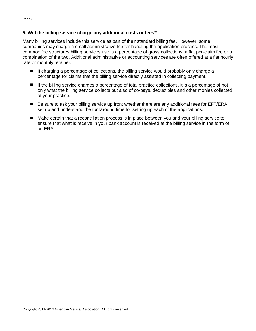#### **5. Will the billing service charge any additional costs or fees?**

Many billing services include this service as part of their standard billing fee. However, some companies may charge a small administrative fee for handling the application process. The most common fee structures billing services use is a percentage of gross collections, a flat per-claim fee or a combination of the two. Additional administrative or accounting services are often offered at a flat hourly rate or monthly retainer.

- If charging a percentage of collections, the billing service would probably only charge a percentage for claims that the billing service directly assisted in collecting payment.
- If the billing service charges a percentage of total practice collections, it is a percentage of not only what the billing service collects but also of co-pays, deductibles and other monies collected at your practice.
- Be sure to ask your billing service up front whether there are any additional fees for EFT/ERA set up and understand the turnaround time for setting up each of the applications.
- Make certain that a reconciliation process is in place between you and your billing service to ensure that what is receive in your bank account is received at the billing service in the form of an ERA.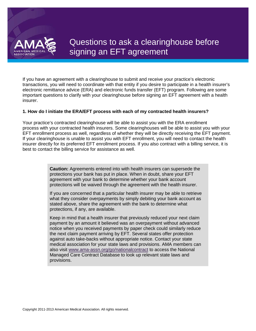<span id="page-18-0"></span>

If you have an agreement with a clearinghouse to submit and receive your practice's electronic transactions, you will need to coordinate with that entity if you desire to participate in a health insurer's electronic remittance advice (ERA) and electronic funds transfer (EFT) program. Following are some important questions to clarify with your clearinghouse before signing an EFT agreement with a health insurer.

#### **1. How do I initiate the ERA/EFT process with each of my contracted health insurers?**

Your practice's contracted clearinghouse will be able to assist you with the ERA enrollment process with your contracted health insurers. Some clearinghouses will be able to assist you with your EFT enrollment process as well, regardless of whether they will be directly receiving the EFT payment. If your clearinghouse is unable to assist you with EFT enrollment, you will need to contact the health insurer directly for its preferred EFT enrollment process. If you also contract with a billing service, it is best to contact the billing service for assistance as well.

> **Caution:** Agreements entered into with health insurers can supersede the protections your bank has put in place. When in doubt, share your EFT agreement with your bank to determine whether your bank account protections will be waived through the agreement with the health insurer.

If you are concerned that a particular health insurer may be able to retrieve what they consider overpayments by simply debiting your bank account as stated above, share the agreement with the bank to determine what protections, if any, are available.

Keep in mind that a health insurer that previously reduced your next claim payment by an amount it believed was an overpayment without advanced notice when you received payments by paper check could similarly reduce the next claim payment arriving by EFT. Several states offer protection against auto take-backs without appropriate notice. Contact your state medical association for your state laws and provisions. AMA members can also visit [www.ama-assn.org/go/nationalcontract](http://www.ama-assn.org/go/nationalcontract) to access the National Managed Care Contract Database to look up relevant state laws and provisions.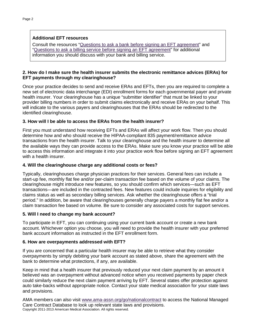Consult the resources ["Questions to ask a bank before signing an EFT agreement](#page-12-0)" and ["Questions to ask a billing service before signing an EFT agreement"](#page-15-0) for additional information you should discuss with your bank and billing service.

## **2. How do I make sure the health insurer submits the electronic remittance advices (ERAs) for EFT payments through my clearinghouse?**

Once your practice decides to send and receive ERAs and EFTs, then you are required to complete a new set of electronic data interchange (EDI) enrollment forms for each governmental payer and private health insurer. Your clearinghouse has a unique "submitter identifier" that must be linked to your provider billing numbers in order to submit claims electronically and receive ERAs on your behalf. This will indicate to the various payers and clearinghouses that the ERAs should be redirected to the identified clearinghouse.

# **3. How will I be able to access the ERAs from the health insurer?**

First you must understand how receiving EFTs and ERAs will affect your work flow. Then you should determine how and who should receive the HIPAA-compliant 835 payment/remittance advice transactions from the health insurer. Talk to your clearinghouse and the health insurer to determine all the available ways they can provide access to the ERAs. Make sure you know your practice will be able to access this information and integrate it into your practice work flow before signing an EFT agreement with a health insurer.

# **4. Will the clearinghouse charge any additional costs or fees?**

Typically, clearinghouses charge physician practices for their services. General fees can include a start-up fee, monthly flat fee and/or per-claim transaction fee based on the volume of your claims. The clearinghouse might introduce new features, so you should confirm which services—such as EFT transactions—are included in the contracted fees. New features could include inquiries for eligibility and claims status as well as secondary billing services. Ask whether the clearinghouse offers a "trial period." In addition, be aware that clearinghouses generally charge payers a monthly flat fee and/or a claim transaction fee based on volume. Be sure to consider any associated costs for support services.

# **5. Will I need to change my bank account?**

To participate in EFT, you can continuing using your current bank account or create a new bank account. Whichever option you choose, you will need to provide the health insurer with your preferred bank account information as instructed in the EFT enrollment form.

# **6. How are overpayments addressed with EFT?**

If you are concerned that a particular health insurer may be able to retrieve what they consider overpayments by simply debiting your bank account as stated above, share the agreement with the bank to determine what protections, if any, are available.

Keep in mind that a health insurer that previously reduced your next claim payment by an amount it believed was an overpayment without advanced notice when you received payments by paper check could similarly reduce the next claim payment arriving by EFT. Several states offer protection against auto take-backs without appropriate notice. Contact your state medical association for your state laws and provisions.

Copyright 2011-2013 American Medical Association. All rights reserved. AMA members can also visit [www.ama-assn.org/go/nationalcontract](http://www.ama-assn.org/go/nationalcontract) to access the National Managed Care Contract Database to look up relevant state laws and provisions.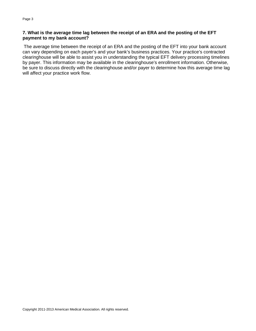#### **7. What is the average time lag between the receipt of an ERA and the posting of the EFT payment to my bank account?**

The average time between the receipt of an ERA and the posting of the EFT into your bank account can vary depending on each payer's and your bank's business practices. Your practice's contracted clearinghouse will be able to assist you in understanding the typical EFT delivery processing timelines by payer. This information may be available in the clearinghouse's enrollment information. Otherwise, be sure to discuss directly with the clearinghouse and/or payer to determine how this average time lag will affect your practice work flow.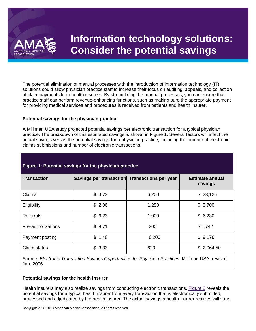<span id="page-21-0"></span>

# **Information technology solutions: Consider the potential savings**

The potential elimination of manual processes with the introduction of information technology (IT) solutions could allow physician practice staff to increase their focus on auditing, appeals, and collection of claim payments from health insurers. By streamlining the manual processes, you can ensure that practice staff can perform revenue-enhancing functions, such as making sure the appropriate payment for providing medical services and procedures is received from patients and health insurer.

#### **Potential savings for the physician practice**

A Milliman USA study projected potential savings per electronic transaction for a typical physician practice. The breakdown of this estimated savings is shown in Figure 1. Several factors will affect the actual savings versus the potential savings for a physician practice, including the number of electronic claims submissions and number of electronic transactions.

| Figure 1: Potential savings for the physician practice |                                               |       |                                   |
|--------------------------------------------------------|-----------------------------------------------|-------|-----------------------------------|
| <b>Transaction</b>                                     | Savings per transaction Transactions per year |       | <b>Estimate annual</b><br>savings |
| Claims                                                 | \$3.73                                        | 6,200 | \$23,126                          |
| Eligibility                                            | \$2.96                                        | 1,250 | \$3,700                           |
| Referrals                                              | \$6.23                                        | 1,000 | \$6,230                           |
| Pre-authorizations                                     | \$8.71                                        | 200   | \$1,742                           |
| Payment posting                                        | \$1.48                                        | 6,200 | \$9,176                           |
| Claim status                                           | \$3.33                                        | 620   | \$2,064.50                        |

Source: *Electronic Transaction Savings Opportunities for Physician Practices*, Milliman USA, revised Jan. 2006.

#### **Potential savings for the health insurer**

Health insurers may also realize savings from conducting electronic transactions. [Figure 2](#page-22-0) reveals the potential savings for a typical health insurer from every transaction that is electronically submitted, processed and adjudicated by the health insurer. The actual savings a health insurer realizes will vary.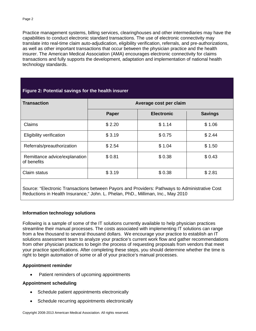Practice management systems, billing services, clearinghouses and other intermediaries may have the capabilities to conduct electronic standard transactions. The use of electronic connectivity may translate into real-time claim auto-adjudication, eligibility verification, referrals, and pre-authorizations, as well as other important transactions that occur between the physician practice and the health insurer. The American Medical Association (AMA) encourages electronic connectivity for claims transactions and fully supports the development, adaptation and implementation of national health technology standards.

## <span id="page-22-0"></span>**Figure 2: Potential savings for the health insurer**

| <b>Transaction</b>                           | Average cost per claim |                   |                |
|----------------------------------------------|------------------------|-------------------|----------------|
|                                              | Paper                  | <b>Electronic</b> | <b>Savings</b> |
| Claims                                       | \$2.20                 | \$1.14            | \$1.06         |
| Eligibility verification                     | \$3.19                 | \$0.75            | \$2.44         |
| Referrals/preauthorization                   | \$2.54                 | \$1.04            | \$1.50         |
| Remittance advice/explanation<br>of benefits | \$0.81                 | \$0.38            | \$0.43         |
| Claim status                                 | \$3.19                 | \$0.38            | \$2.81         |

Source: "Electronic Transactions between Payors and Providers: Pathways to Administrative Cost Reductions in Health Insurance," John. L. Phelan, PhD., Milliman, Inc., May 2010

#### **Information technology solutions**

Following is a sample of some of the IT solutions currently available to help physician practices streamline their manual processes. The costs associated with implementing IT solutions can range from a few thousand to several thousand dollars. We encourage your practice to establish an IT solutions assessment team to analyze your practice's current work flow and gather recommendations from other physician practices to begin the process of requesting proposals from vendors that meet your practice specifications. After completing these steps, you should determine whether the time is right to begin automation of some or all of your practice's manual processes.

#### **Appointment reminder**

Patient reminders of upcoming appointments

#### **Appointment scheduling**

- Schedule patient appointments electronically
- Schedule recurring appointments electronically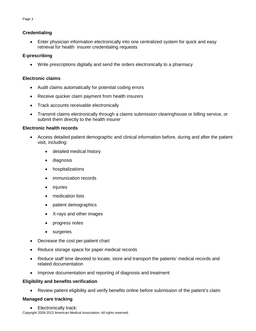#### **Credentialing**

• Enter physician information electronically into one centralized system for quick and easy retrieval for health insurer credentialing requests

#### **E-prescribing**

• Write prescriptions digitally and send the orders electronically to a pharmacy

#### **Electronic claims**

- Audit claims automatically for potential coding errors
- Receive quicker claim payment from health insurers
- Track accounts receivable electronically
- Transmit claims electronically through a claims submission clearinghouse or billing service, or submit them directly to the health insurer

#### **Electronic health records**

- Access detailed patient demographic and clinical information before, during and after the patient visit, including:
	- detailed medical history
	- diagnosis
	- hospitalizations
	- immunization records
	- injuries
	- medication lists
	- patient demographics
	- X-rays and other images
	- progress notes
	- surgeries
- Decrease the cost per-patient chart
- Reduce storage space for paper medical records
- Reduce staff time devoted to locate, store and transport the patients' medical records and related documentation
- Improve documentation and reporting of diagnosis and treatment

#### **Eligibility and benefits verification**

• Review patient eligibility and verify benefits online before submission of the patient's claim

#### **Managed care tracking**

Electronically track:

Copyright 2008-2013 American Medical Association. All rights reserved.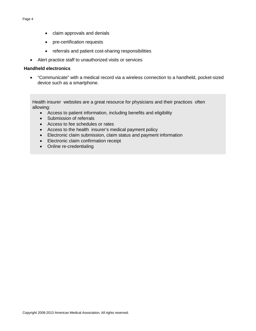- claim approvals and denials
- pre-certification requests
- referrals and patient cost-sharing responsibilities
- Alert practice staff to unauthorized visits or services

#### **Handheld electronics**

• "Communicate" with a medical record via a wireless connection to a handheld, pocket-sized device such as a smartphone.

Health insurer websites are a great resource for physicians and their practices often allowing:

- Access to patient information, including benefits and eligibility
- Submission of referrals
- Access to fee schedules or rates
- Access to the health insurer's medical payment policy
- Electronic claim submission, claim status and payment information
- Electronic claim confirmation receipt
- Online re-credentialing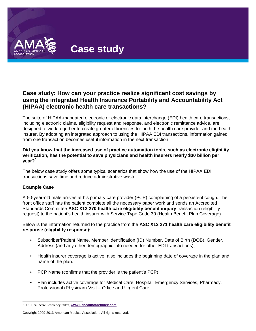<span id="page-25-0"></span>

# **Case study: How can your practice realize significant cost savings by using the integrated Health Insurance Portability and Accountability Act (HIPAA) electronic health care transactions?**

The suite of HIPAA-mandated electronic or electronic data interchange (EDI) health care transactions, including electronic claims, eligibility request and response, and electronic remittance advice, are designed to work together to create greater efficiencies for both the health care provider and the health insurer. By adopting an integrated approach to using the HIPAA EDI transactions, information gained from one transaction becomes useful information in the next transaction.

#### **Did you know that the increased use of practice automation tools, such as electronic eligibility verification, has the potential to save physicians and health insurers nearly \$30 billion per year?[1](#page-25-1)**

The below case study offers some typical scenarios that show how the use of the HIPAA EDI transactions save time and reduce administrative waste.

## **Example Case**

A 50-year-old male arrives at his primary care provider (PCP) complaining of a persistent cough. The front office staff has the patient complete all the necessary paper work and sends an Accredited Standards Committee **ASC X12 270 health care eligibility benefit inquiry** transaction (eligibility request) to the patient's health insurer with Service Type Code 30 (Health Benefit Plan Coverage).

Below is the information returned to the practice from the **ASC X12 271 health care eligibility benefit response (eligibility response):**

- Subscriber/Patient Name, Member Identification (ID) Number, Date of Birth (DOB), Gender, Address (and any other demographic info needed for other EDI transactions);
- Health insurer coverage is active, also includes the beginning date of coverage in the plan and name of the plan.
- PCP Name (confirms that the provider is the patient's PCP)
- Plan includes active coverage for Medical Care, Hospital, Emergency Services, Pharmacy, Professional (Physician) Visit – Office and Urgent Care.

<span id="page-25-1"></span><sup>1</sup> U.S. Healthcare Efficiency Index, **[www.ushealthcareindex.com](http://www.ushealthcareindex.com/)**

Copyright 2009-2013 American Medical Association. All rights reserved.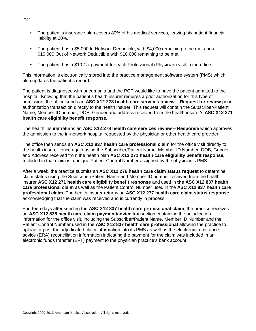- The patient's insurance plan covers 80% of his medical services, leaving his patient financial liability at 20%.
- The patient has a \$5,000 In Network Deductible, with \$4,000 remaining to be met and a \$10,000 Out of Network Deductible with \$10,000 remaining to be met.
- The patient has a \$10 Co-payment for each Professional (Physician) visit in the office.

This information is electronically stored into the practice management software system (PMS) which also updates the patient's record.

The patient is diagnosed with pneumonia and the PCP would like to have the patient admitted to the hospital. Knowing that the patient's health insurer requires a prior authorization for this type of admission, the office sends an **ASC X12 278 health care services review – Request for review** prior authorization transaction directly to the health insurer. This request will contain the Subscriber/Patient Name, Member ID number, DOB, Gender and address received from the health insurer's **ASC X12 271 health care eligibility benefit response.**

The health insurer returns an **ASC X12 278 health care services review – Response** which approves the admission to the in-network hospital requested by the physician or other health care provider.

The office then sends an **ASC X12 837 health care professional claim** for the office visit directly to the health insurer, once again using the Subscriber/Patient Name, Member ID Number, DOB, Gender and Address received from the health plan **ASC X12 271 health care eligibility benefit response.** Included in that claim is a unique Patient Control Number assigned by the physician's PMS.

After a week, the practice submits an **ASC X12 276 health care claim status request** to determine claim status using the Subscriber/Patient Name and Member ID number received from the health insurer **ASC X12 271 health care eligibility benefit response** and used in **the ASC X12 837 health care professional claim** as well as the Patient Control Number used in the **ASC X12 837 health care professional claim**. The health insurer returns an **ASC X12 277 health care claim status response** acknowledging that the claim was received and is currently in process.

Fourteen days after sending the **ASC X12 837 health care professional claim**, the practice receives an **ASC X12 835 health care claim payment/advice** transaction containing the adjudication information for the office visit, including the Subscriber/Patient Name, Member ID Number and the Patient Control Number used in the **ASC X12 837 health care professional** allowing the practice to upload or post the adjudicated claim information into its PMS as well as the electronic remittance advice (ERA) reconciliation information indicating the payment for the claim was included in an electronic funds transfer (EFT) payment to the physician practice's bank account.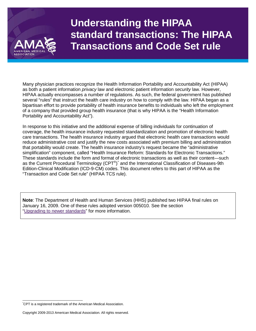<span id="page-27-0"></span>

# **Understanding the HIPAA standard transactions: The HIPAA Transactions and Code Set rule**

Many physician practices recognize the Health Information Portability and Accountability Act (HIPAA) as both a patient information *privacy* law and electronic patient information *security* law. However, HIPAA actually encompasses a number of regulations. As such, the federal government has published several "rules" that instruct the health care industry on how to comply with the law. HIPAA began as a bipartisan effort to provide portability of health insurance benefits to individuals who left the employment of a company that provided group health insurance (that is why HIPAA is the "Health Information Portability and Accountability Act").

In response to this initiative and the additional expense of billing individuals for continuation of coverage, the health insurance industry requested standardization and promotion of electronic health care transactions. The health insurance industry argued that electronic health care transactions would reduce administrative cost and justify the new costs associated with premium billing and administration that portability would create. The health insurance industry's request became the "administrative simplification" component, called "Health Insurance Reform: Standards for Electronic Transactions." These standards include the form and format of electronic transactions as well as their content—such as the Current Procedural Terminology (CPT®)<sup>[\\*](#page-27-1)</sup> and the International Classification of Diseases-9th Edition-Clinical Modification (ICD-9-CM) codes. This document refers to this part of HIPAA as the "Transaction and Code Set rule" (HIPAA TCS rule).

**Note**: The Department of Health and Human Services (HHS) published two HIPAA final rules on January 16, 2009. One of these rules adopted version 005010. See the section ["Upgrading to newer standards"](#page-31-0) for more information.

<span id="page-27-1"></span><sup>\*</sup> CPT is a registered trademark of the American Medical Association.  $\overline{1}$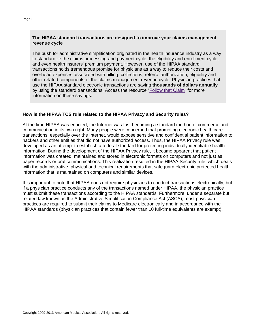#### **The HIPAA standard transactions are designed to improve your claims management revenue cycle**

The push for administrative simplification originated in the health insurance industry as a way to standardize the claims processing and payment cycle, the eligibility and enrollment cycle, and even health insurers' premium payment. However, use of the HIPAA standard transactions holds tremendous promise for physicians as a way to reduce their costs and overhead expenses associated with billing, collections, referral authorization, eligibility and other related components of the claims management revenue cycle. Physician practices that use the HIPAA standard electronic transactions are saving **thousands of dollars annually** by using the standard transactions. Access the resource ["Follow that Claim"](http://www.ama-assn.org/resources/doc/psa/follow-that-claim.pdf) for more information on these savings.

#### **How is the HIPAA TCS rule related to the HIPAA Privacy and Security rules?**

At the time HIPAA was enacted, the Internet was fast becoming a standard method of commerce and communication in its own right. Many people were concerned that promoting electronic health care transactions, especially over the Internet, would expose sensitive and confidential patient information to hackers and other entities that did not have authorized access. Thus, the HIPAA Privacy rule was developed as an attempt to establish a federal standard for protecting individually identifiable health information. During the development of the HIPAA Privacy rule, it became apparent that patient information was created, maintained and stored in electronic formats on computers and not just as paper records or oral communications. This realization resulted in the HIPAA Security rule, which deals with the administrative, physical and technical requirements that safeguard electronic protected health information that is maintained on computers and similar devices.

It is important to note that HIPAA does not require physicians to conduct transactions electronically, but if a physician practice conducts any of the transactions named under HIPAA, the physician practice must submit these transactions according to the HIPAA standards. Furthermore, under a separate but related law known as the Administrative Simplification Compliance Act (ASCA), most physician practices are required to submit their claims to Medicare electronically and in accordance with the HIPAA standards (physician practices that contain fewer than 10 full-time equivalents are exempt).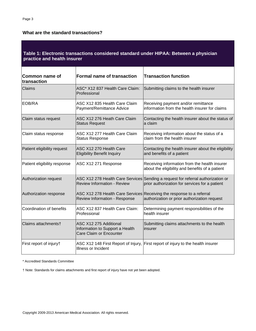#### **What are the standard transactions?**

#### <span id="page-29-0"></span>**Table 1: Electronic transactions considered standard under HIPAA: Between a physician practice and health insurer**

| <b>Common name of</b><br>transaction | <b>Formal name of transaction</b>                                                    | <b>Transaction function</b>                                                                                                        |
|--------------------------------------|--------------------------------------------------------------------------------------|------------------------------------------------------------------------------------------------------------------------------------|
| <b>Claims</b>                        | ASC* X12 837 Health Care Claim:<br>Professional                                      | Submitting claims to the health insurer                                                                                            |
| <b>IEOB/RA</b>                       | ASC X12 835 Health Care Claim<br>Payment/Remittance Advice                           | Receiving payment and/or remittance<br>information from the health insurer for claims                                              |
| Claim status request                 | ASC X12 276 Heath Care Claim<br><b>Status Request</b>                                | Contacting the health insurer about the status of<br>a claim                                                                       |
| Claim status response                | ASC X12 277 Health Care Claim<br><b>Status Response</b>                              | Receiving information about the status of a<br>claim from the health insurer                                                       |
| Patient eligibility request          | ASC X12 270 Health Care<br><b>Eligibility Benefit Inquiry</b>                        | Contacting the health insurer about the eligibility<br>and benefits of a patient                                                   |
| Patient eligibility response         | ASC X12 271 Response                                                                 | Receiving information from the health insurer<br>about the eligibility and benefits of a patient                                   |
| Authorization request                | <b>Review Information - Review</b>                                                   | ASC X12 278 Health Care Services Sending a request for referral authorization or<br>prior authorization for services for a patient |
| Authorization response               | Review Information - Response                                                        | ASC X12 278 Health Care Services Receiving the response to a referral<br>authorization or prior authorization request              |
| Coordination of benefits             | ASC X12 837 Health Care Claim:<br>Professional                                       | Determining payment responsibilities of the<br>health insurer                                                                      |
| Claims attachments†                  | ASC X12 275 Additional<br>Information to Support a Health<br>Care Claim or Encounter | Submitting claims attachments to the health<br>linsurer                                                                            |
| First report of injury†              | Illness or Incident                                                                  | ASC X12 148 First Report of Injury, First report of injury to the health insurer                                                   |

\* Accredited Standards Committee

† Note: Standards for claims attachments and first report of injury have not yet been adopted.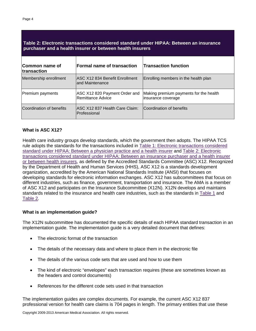#### <span id="page-30-0"></span>**Table 2: Electronic transactions considered standard under HIPAA: Between an insurance purchaser and a health insurer or between health insurers**

| Common name of<br><b>transaction</b> | <b>Formal name of transaction</b>                            | <b>Transaction function</b>                                  |
|--------------------------------------|--------------------------------------------------------------|--------------------------------------------------------------|
| Membership enrollment                | IASC X12 834 Benefit Enrollment<br>land Maintenance          | Enrolling members in the health plan                         |
| Premium payments                     | ASC X12 820 Payment Order and<br>Remittance Advice           | Making premium payments for the health<br>insurance coverage |
| Coordination of benefits             | <b>ASC X12 837 Health Care Claim:</b><br><b>Professional</b> | Coordination of benefits                                     |

#### **What is ASC X12?**

Health care industry groups develop standards, which the government then adopts. The HIPAA TCS rule adopts the standards for the transactions included in [Table 1: Electronic transactions considered](#page-29-0)  [standard under HIPAA: Between a physician practice and a health insurer](#page-29-0) and [Table 2: Electronic](#page-30-0)  [transactions considered standard under HIPAA: Between an insurance purchaser and a health insurer](#page-30-0)  [or between health insurers,](#page-30-0) as defined by the Accredited Standards Committee (ASC) X12. Recognized by the Department of Health and Human Services (HHS), ASC X12 is a standards development organization, accredited by the American National Standards Institute (ANSI) that focuses on developing standards for electronic information exchanges. ASC X12 has subcommittees that focus on different industries, such as finance, government, transportation and insurance. The AMA is a member of ASC X12 and participates on the Insurance Subcommittee (X12N). X12N develops and maintains standards related to the insurance and health care industries, such as the standards in [Table 1](#page-29-0) and [Table 2.](#page-30-0)

#### **What is an implementation guide?**

The X12N subcommittee has documented the specific details of each HIPAA standard transaction in an implementation guide. The implementation guide is a very detailed document that defines:

- The electronic format of the transaction
- The details of the necessary data and where to place them in the electronic file
- The details of the various code sets that are used and how to use them
- The kind of electronic "envelopes" each transaction requires (these are sometimes known as the headers and control documents)
- References for the different code sets used in that transaction

The implementation guides are complex documents. For example, the current ASC X12 837 professional version for health care claims is 704 pages in length. The primary entities that use these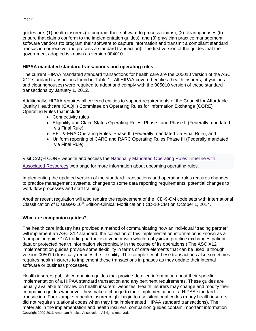guides are: (1) health insurers (to program their software to process claims); (2) clearinghouses (to ensure that claims conform to the implementation guides); and (3) physician practice management software vendors (to program their software to capture information and transmit a compliant standard transaction or receive and process a standard transaction). The first version of the guides that the government adopted is known as version 004010.

## <span id="page-31-0"></span>**HIPAA mandated standard transactions and operating rules**

The current HIPAA mandated standard transactions for health care are the 005010 version of the ASC X12 standard transactions found in Table 1. All HIPAA-covered entities (health insurers, physicians and clearinghouses) were required to adopt and comply with the 005010 version of these standard transactions by January 1, 2012.

Additionally, HIPAA requires all covered entities to support requirements of the Council for Affordable Quality Healthcare (CAQH) Committee on Operating Rules for Information Exchange (CORE) Operating Rules that include:

- Connectivity rules
- Eligibility and Claim Status Operating Rules: Phase I and Phase II (Federally mandated via Final Rule)
- EFT & ERA Operating Rules: Phase III (Federally mandated via Final Rule); and
- Uniform reporting of CARC and RARC Operating Rules Phase III (Federally mandated via Final Rule).

Visit CAQH CORE website and access the [Nationally Mandated Operating Rules Timeline with](http://www.caqh.org/ORMandate_timeline.php)  [Associated Resources](http://www.caqh.org/ORMandate_timeline.php) web page for more information about upcoming operating rules.

Implementing the updated version of the standard transactions and operating rules requires changes to practice management systems, changes to some data reporting requirements, potential changes to work flow processes and staff training.

Another recent regulation will also require the replacement of the ICD-9-CM code sets with International Classification of Diseases-10<sup>th</sup> Edition-Clinical Modification (ICD-10-CM) on October 1, 2014.

## **What are companion guides?**

The health care industry has provided a method of communicating how an individual "trading partner" will implement an ASC X12 standard; the collection of this implementation information is known as a "companion guide." (A trading partner is a vendor with which a physician practice exchanges patient data or protected health information electronically in the course of its operations.) The ASC X12 implementation guides provide some flexibility in terms of data elements that can be used, although version 005010 drastically reduces the flexibility. The complexity of these transactions also sometimes requires health insurers to implement these transactions in phases as they update their internal software or business processes.

Health insurers publish companion guides that provide detailed information about their specific implementation of a HIPAA standard transaction and any pertinent requirements. These guides are usually available for review on health insurers' websites. Health insurers may change and modify their companion guides whenever they make a change to their implementation of a HIPAA standard transaction. For example, a health insurer might begin to use situational codes (many health insurers did not require situational codes when they first implemented HIPAA standard transactions). The materials in the implementation and health insurers' companion guides contain important information Copyright 2009-2013 American Medical Association. All rights reserved.

Page 5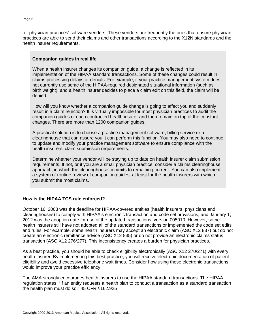for physician practices' software vendors. These vendors are frequently the ones that ensure physician practices are able to send their claims and other transactions according to the X12N standards and the health insurer requirements.

#### **Companion guides in real life**

When a health insurer changes its companion guide, a change is reflected in its implementation of the HIPAA standard transactions. Some of these changes could result in claims processing delays or denials. For example, if your practice management system does not currently use some of the HIPAA-required designated situational information (such as birth weight), and a health insurer decides to place a claim edit on this field, the claim will be denied.

How will you know whether a companion guide change is going to affect you and suddenly result in a claim rejection? It is virtually impossible for most physician practices to audit the companion guides of each contracted health insurer and then remain on top of the constant changes. There are more than 1200 companion guides.

A practical solution is to choose a practice management software, billing service or a clearinghouse that can assure you it can perform this function. You may also need to continue to update and modify your practice management software to ensure compliance with the health insurers' claim submission requirements.

Determine whether your vendor will be staying up to date on health insurer claim submission requirements. If not, or if you are a small physician practice, consider a claims clearinghouse approach, in which the clearinghouse commits to remaining current. You can also implement a system of routine review of companion guides, at least for the health insurers with which you submit the most claims.

#### **How is the HIPAA TCS rule enforced?**

October 16, 2003 was the deadline for HIPAA-covered entities (health insurers, physicians and clearinghouses) to comply with HIPAA's electronic transaction and code set provisions, and January 1, 2012 was the adoption date for use of the updated transactions, version 005010. However, some health insurers still have not adopted all of the standard transactions or implemented the code set edits and rules. For example, some health insurers may accept an electronic claim (ASC X12 837) but do not create an electronic remittance advice (ASC X12 835) or do not provide an electronic claims status transaction (ASC X12 276/277). This inconsistency creates a burden for physician practices.

As a best practice, you should be able to check eligibility electronically (ASC X12 270/271) with every health insurer. By implementing this best practice, you will receive electronic documentation of patient eligibility and avoid excessive telephone wait times. Consider how using these electronic transactions would improve your practice efficiency.

The AMA strongly encourages health insurers to use the HIPAA standard transactions. The HIPAA regulation states, "If an entity requests a health plan to conduct a transaction as a standard transaction the health plan must do so." 45 CFR §162.925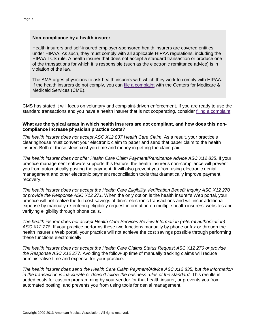#### **Non-compliance by a health insurer**

Health insurers and self-insured employer-sponsored health insurers are covered entities under HIPAA. As such, they must comply with all applicable HIPAA regulations, including the HIPAA TCS rule. A health insurer that does not accept a standard transaction or produce one of the transactions for which it is responsible (such as the electronic remittance advice) is in violation of the law.

The AMA urges physicians to ask health insurers with which they work to comply with HIPAA. If the health insurers do not comply, you can file a complaint with the Centers for Medicare & [Medicaid Services \(CME\).](http://www.ama-assn.org/ama/pub/physician-resources/practice-management-center/health-insurer-payer-relations/complaints-disputes/hipaa-complaint-form.page)

CMS has stated it will focus on voluntary and complaint-driven enforcement. If you are ready to use the standard transactions and you have a h[ealth insurer that i](http://www.ama-assn.org/ama/pub/physician-resources/practice-management-center/health-insurer-payer-relations/complaints-disputes/hipaa-complaint-form.page)s not cooperating, consider filing a complaint.

#### **What are the typical areas in which health insurers are not compliant, and how does this noncompliance increase physician practice costs?**

*The health insurer does not accept ASC X12 837 Health Care Claim*. As a result, your practice's clearinghouse must convert your electronic claim to paper and send that paper claim to the health insurer. Both of these steps cost you time and money in getting the claim paid.

*The health insurer does not offer Health Care Claim Payment/Remittance Advice ASC X12 835*. If your practice management software supports this feature, the health insurer's non-compliance will prevent you from automatically posting the payment. It will also prevent you from using electronic denial management and other electronic payment reconciliation tools that dramatically improve payment recovery.

*The health insurer does not accept the Health Care Eligibility Verification Benefit Inquiry ASC X12 270 or provide the Response ASC X12 271.* When the only option is the health insurer's Web portal, your practice will not realize the full cost savings of direct electronic transactions and will incur additional expense by manually re-entering eligibility request information on multiple health insurers' websites and verifying eligibility through phone calls.

*The health insurer does not accept Health Care Services Review Information (referral authorization) ASC X12 278*. If your practice performs these two functions manually by phone or fax or through the health insurer's Web portal, your practice will not achieve the cost savings possible through performing these functions electronically.

*The health insurer does not accept the Health Care Claims Status Request ASC X12 276 or provide the Response ASC X12 277*. Avoiding the follow-up time of manually tracking claims will reduce administrative time and expense for your practice.

*The health insurer does send the Health Care Claim Payment/Advice ASC X12 835, but the information in the transaction is inaccurate or doesn't follow the business rules of the standard.* This results in added costs for custom programming by your vendor for that health insurer, or prevents you from automated posting, and prevents you from using tools for denial management.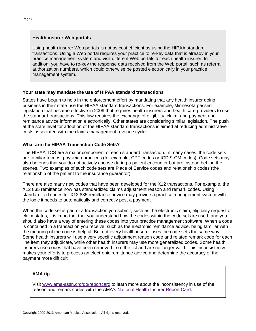#### **Health insurer Web portals**

Using health insurer Web portals is not as cost efficient as using the HIPAA standard transactions. Using a Web portal requires your practice to re-key data that is already in your practice management system and visit different Web portals for each health insurer. In addition, you have to re-key the response data received from the Web portal, such as referral authorization numbers, which could otherwise be posted electronically in your practice management system.

#### **Your state may mandate the use of HIPAA standard transactions**

States have begun to help in the enforcement effort by mandating that any health insurer doing business in their state use the HIPAA standard transactions. For example, Minnesota passed legislation that became effective in 2009 that requires health insurers and health care providers to use the standard transactions. This law requires the exchange of eligibility, claim, and payment and remittance advice information electronically. Other states are considering similar legislation. The push at the state level for adoption of the HIPAA standard transactions is aimed at reducing administrative costs associated with the claims management revenue cycle.

#### **What are the HIPAA Transaction Code Sets?**

The HIPAA TCS are a major component of each standard transaction. In many cases, the code sets are familiar to most physician practices (for example, CPT codes or ICD-9-CM codes). Code sets may also be ones that you do not actively choose during a patient encounter but are instead behind the scenes. Two examples of such code sets are Place of Service codes and relationship codes (the relationship of the patient to the insurance guarantor).

There are also many new codes that have been developed for the X12 transactions. For example, the X12 835 remittance now has standardized claims adjustment reason and remark codes. Using standardized codes for X12 835 remittance advice may provide a practice management system with the logic it needs to automatically and correctly post a payment.

When the code set is part of a transaction you submit, such as the electronic claim, eligibility request or claim status, it is important that you understand how the codes within the code set are used, and you should also have a way of entering these codes into your practice management software. When a code is contained in a transaction you receive, such as the electronic remittance advice, being familiar with the meaning of the code is helpful. But not every health insurer uses the code sets the same way. Some health insurers will use a very specific adjustment reason code and related remark code for each line item they adjudicate, while other health insurers may use more generalized codes. Some health insurers use codes that have been removed from the list and are no longer valid. This inconsistency makes your efforts to process an electronic remittance advice and determine the accuracy of the payment more difficult.

#### **AMA tip**

Visit [www.ama-assn.org/go/reportcard](http://www.ama-assn.org/go/reportcard) to learn more about the inconsistency in use of the reason and remark codes with the AMA's [National Health Insurer Report Card.](http://www.ama-assn.org/go/reportcard)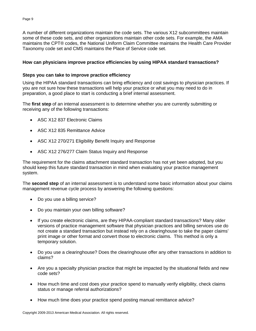A number of different organizations maintain the code sets. The various X12 subcommittees maintain some of these code sets, and other organizations maintain other code sets. For example, the AMA maintains the CPT® codes, the National Uniform Claim Committee maintains the Health Care Provider Taxonomy code set and CMS maintains the Place of Service code set.

#### **How can physicians improve practice efficiencies by using HIPAA standard transactions?**

#### **Steps you can take to improve practice efficiency**

Using the HIPAA standard transactions can bring efficiency and cost savings to physician practices. If you are not sure how these transactions will help your practice or what you may need to do in preparation, a good place to start is conducting a brief internal assessment.

The **first step** of an internal assessment is to determine whether you are currently submitting or receiving any of the following transactions:

- ASC X12 837 Electronic Claims
- ASC X12 835 Remittance Advice
- ASC X12 270/271 Eligibility Benefit Inquiry and Response
- ASC X12 276/277 Claim Status Inquiry and Response

The requirement for the claims attachment standard transaction has not yet been adopted, but you should keep this future standard transaction in mind when evaluating your practice management system.

The **second step** of an internal assessment is to understand some basic information about your claims management revenue cycle process by answering the following questions:

- Do you use a billing service?
- Do you maintain your own billing software?
- If you create electronic claims, are they HIPAA-compliant standard transactions? Many older versions of practice management software that physician practices and billing services use do not create a standard transaction but instead rely on a clearinghouse to take the paper claims' print image or other format and convert those to electronic claims. This method is only a temporary solution.
- Do you use a clearinghouse? Does the clearinghouse offer any other transactions in addition to claims?
- Are you a specialty physician practice that might be impacted by the situational fields and new code sets?
- How much time and cost does your practice spend to manually verify eligibility, check claims status or manage referral authorizations?
- How much time does your practice spend posting manual remittance advice?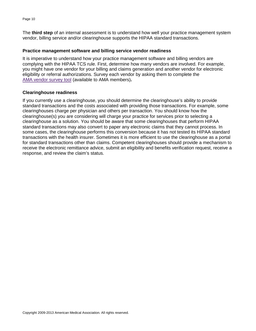The **third step** of an internal assessment is to understand how well your practice management system vendor, billing service and/or clearinghouse supports the HIPAA standard transactions.

#### **Practice management software and billing service vendor readiness**

It is imperative to understand how your practice management software and billing vendors are complying with the HIPAA TCS rule. First, determine how many vendors are involved. For example, you might have one vendor for your billing and claims generation and another vendor for electronic eligibility or referral authorizations. Survey each vendor by asking them to complete the [AMA vendor survey tool](http://www.ama-assn.org/resources/doc/psa/x-ama/tcs_venfor_survey.pdf) (available to AMA members)**.**

#### **Clearinghouse readiness**

If you currently use a clearinghouse, you should determine the clearinghouse's ability to provide standard transactions and the costs associated with providing those transactions. For example, some clearinghouses charge per physician and others per transaction. You should know how the clearinghouse(s) you are considering will charge your practice for services prior to selecting a clearinghouse as a solution. You should be aware that some clearinghouses that perform HIPAA standard transactions may also convert to paper any electronic claims that they cannot process. In some cases, the clearinghouse performs this conversion because it has not tested its HIPAA standard transactions with the health insurer. Sometimes it is more efficient to use the clearinghouse as a portal for standard transactions other than claims. Competent clearinghouses should provide a mechanism to receive the electronic remittance advice, submit an eligibility and benefits verification request, receive a response, and review the claim's status.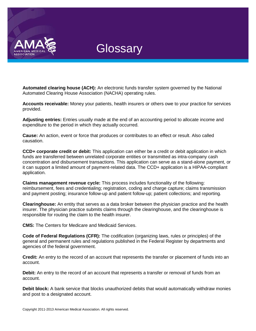<span id="page-37-0"></span>

# **Glossary**

**Automated clearing house (ACH):** An electronic funds transfer system governed by the National Automated Clearing House Association (NACHA) operating rules.

**Accounts receivable:** Money your patients, health insurers or others owe to your practice for services provided.

**Adjusting entries:** Entries usually made at the end of an accounting period to allocate income and expenditure to the period in which they actually occurred.

**Cause:** An action, event or force that produces or contributes to an effect or result. Also called causation.

**CCD+ corporate credit or debit:** This application can either be a credit or debit application in which funds are transferred between unrelated corporate entities or transmitted as intra-company cash concentration and disbursement transactions. This application can serve as a stand-alone payment, or it can support a limited amount of payment-related data. The CCD+ application is a HIPAA-compliant application.

**Claims management revenue cycle:** This process includes functionality of the following: reimbursement, fees and credentialing; registration, coding and charge capture; claims transmission and payment posting; insurance follow-up and patient follow-up; patient collections; and reporting.

**Clearinghouse:** An entity that serves as a data broker between the physician practice and the health insurer. The physician practice submits claims through the clearinghouse, and the clearinghouse is responsible for routing the claim to the health insurer.

**CMS:** The Centers for Medicare and Medicaid Services.

**Code of Federal Regulations (CFR):** The codification (organizing laws, rules or principles) of the general and permanent rules and regulations published in the Federal Register by departments and agencies of the federal government.

**Credit:** An entry to the record of an account that represents the transfer or placement of funds into an account.

**Debit:** An entry to the record of an account that represents a transfer or removal of funds from an account.

**Debit block:** A bank service that blocks unauthorized debits that would automatically withdraw monies and post to a designated account.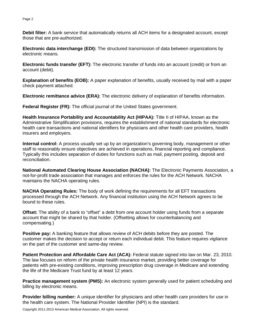**Debit filter:** A bank service that automatically returns all ACH items for a designated account, except those that are pre-authorized.

**Electronic data interchange (EDI):** The structured transmission of data between organizations by electronic means.

**Electronic funds transfer (EFT):** The electronic transfer of funds into an account (credit) or from an account (debit).

**Explanation of benefits (EOB):** A paper explanation of benefits, usually received by mail with a paper check payment attached.

**Electronic remittance advice (ERA):** The electronic delivery of explanation of benefits information.

**Federal Register (FR):** The official journal of the United States government.

**Health Insurance Portability and Accountability Act (HIPAA):** Title II of HIPAA, known as the Administrative Simplification provisions, requires the establishment of national standards for electronic health care transactions and national identifiers for physicians and other health care providers, health insurers and employers.

**Internal control:** A process usually set up by an organization's governing body, management or other staff to reasonably ensure objectives are achieved in operations, financial reporting and compliance. Typically this includes separation of duties for functions such as mail, payment posting, deposit and reconciliation.

**National Automated Clearing House Association (NACHA):** The Electronic Payments Association, a not-for-profit trade association that manages and enforces the rules for the ACH Network. NACHA maintains the NACHA operating rules.

**NACHA Operating Rules:** The body of work defining the requirements for all EFT transactions processed through the ACH Network. Any financial institution using the ACH Network agrees to be bound to these rules.

**Offset:** The ability of a bank to "offset" a debt from one account holder using funds from a separate account that might be shared by that holder. (Offsetting allows for counterbalancing and compensating.)

**Positive pay:** A banking feature that allows review of ACH debits before they are posted. The customer makes the decision to accept or return each individual debit. This feature requires vigilance on the part of the customer and same-day review.

**Patient Protection and Affordable Care Act (ACA):** Federal statute signed into law on Mar. 23, 2010. The law focuses on reform of the private health insurance market, providing better coverage for patients with pre-existing conditions, improving prescription drug coverage in Medicare and extending the life of the Medicare Trust fund by at least 12 years.

**Practice management system (PMS):** An electronic system generally used for patient scheduling and billing by electronic means.

**Provider billing number:** A unique identifier for physicians and other health care providers for use in the health care system. The National Provider Identifier (NPI) is the standard.

Copyright 2011-2013 American Medical Association. All rights reserved.